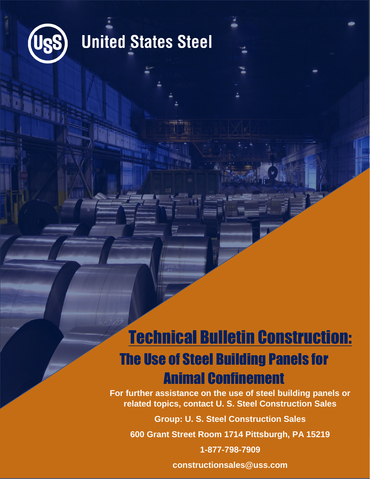

### **United States Steel**

### Technical Bulletin Construction: The Use of Steel Building Panels for Animal Confinement

**For further assistance on the use of steel building panels or related topics, contact U. S. Steel Construction Sales**

**Group: U. S. Steel Construction Sales**

**600 Grant Street Room 1714 Pittsburgh, PA 15219**

**1-877-798-7909**

**constructionsales@uss.com**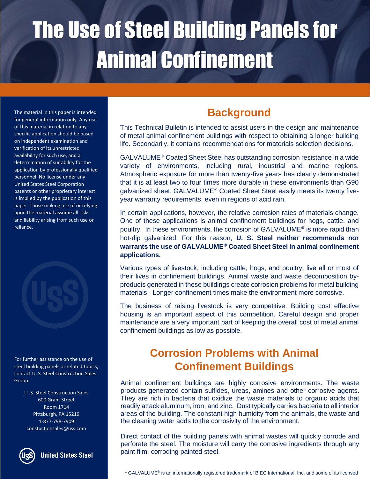The material in this paper is intended for general information only. Any use of this material in relation to any specific application should be based on independent examination and verification of its unrestricted availability for such use, and a determination of suitability for the application by professionally qualified personnel. No license under any United States Steel Corporation patents or other proprietary interest is implied by the publication of this paper. Those making use of or relying upon the material assume all risks and liability arising from such use or reliance.



For further assistance on the use of steel building panels or related topics, contact U. S. Steel Construction Sales Group:

> U. S. Steel Construction Sales 600 Grant Street Room 1714 Pittsburgh, PA 15219 1-877-798-7909 constuctionsales@uss.com



**United States Steel** 

### **Background**

This Technical Bulletin is intended to assist users in the design and maintenance of metal animal confinement buildings with respect to obtaining a longer building life. Secondarily, it contains recommendations for materials selection decisions.

GALVALUME<sup>®</sup> Coated Sheet Steel has outstanding corrosion resistance in a wide variety of environments, including rural, industrial and marine regions. Atmospheric exposure for more than twenty-five years has clearly demonstrated that it is at least two to four times more durable in these environments than G90 galvanized sheet. GALVALUME<sup>®</sup> Coated Sheet Steel easily meets its twenty fiveyear warranty requirements, even in regions of acid rain.

In certain applications, however, the relative corrosion rates of materials change. One of these applications is animal confinement buildings for hogs, cattle, and poultry. In these environments, the corrosion of GALVALUME<sup>®</sup> is more rapid than hot-dip galvanized. For this reason, **U. S. Steel neither recommends nor**  warrants the use of GALVALUME<sup>®</sup> Coated Sheet Steel in animal confinement **applications.**

Various types of livestock, including cattle, hogs, and poultry, live all or most of their lives in confinement buildings. Animal waste and waste decomposition byproducts generated in these buildings create corrosion problems for metal building materials. Longer confinement times make the environment more corrosive.

The business of raising livestock is very competitive. Building cost effective housing is an important aspect of this competition. Careful design and proper maintenance are a very important part of keeping the overall cost of metal animal confinement buildings as low as possible.

#### **Corrosion Problems with Animal Confinement Buildings**

Animal confinement buildings are highly corrosive environments. The waste products generated contain sulfides, ureas, amines and other corrosive agents. They are rich in bacteria that oxidize the waste materials to organic acids that readily attack aluminum, iron, and zinc. Dust typically carries bacteria to all interior areas of the building. The constant high humidity from the animals, the waste and the cleaning water adds to the corrosivity of the environment.

Direct contact of the building panels with animal wastes will quickly corrode and perforate the steel. The moisture will carry the corrosive ingredients through any paint film, corroding painted steel.

<sup>&</sup>lt;sup>1</sup> GALVALUME<sup>®</sup> is an internationally registered trademark of BIEC International, Inc. and some of its licensed producers and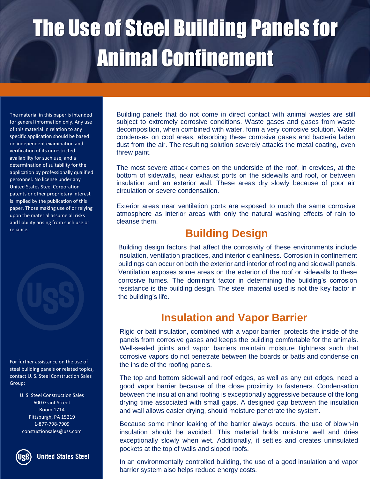The material in this paper is intended for general information only. Any use of this material in relation to any specific application should be based on independent examination and verification of its unrestricted availability for such use, and a determination of suitability for the application by professionally qualified personnel. No license under any United States Steel Corporation patents or other proprietary interest is implied by the publication of this paper. Those making use of or relying upon the material assume all risks and liability arising from such use or reliance.



For further assistance on the use of steel building panels or related topics, contact U. S. Steel Construction Sales Group:

> U. S. Steel Construction Sales 600 Grant Street Room 1714 Pittsburgh, PA 15219 1-877-798-7909 constuctionsales@uss.com



**United States Steel** 

Building panels that do not come in direct contact with animal wastes are still subject to extremely corrosive conditions. Waste gases and gases from waste decomposition, when combined with water, form a very corrosive solution. Water condenses on cool areas, absorbing these corrosive gases and bacteria laden dust from the air. The resulting solution severely attacks the metal coating, even threw paint.

The most severe attack comes on the underside of the roof, in crevices, at the bottom of sidewalls, near exhaust ports on the sidewalls and roof, or between insulation and an exterior wall. These areas dry slowly because of poor air circulation or severe condensation.

Exterior areas near ventilation ports are exposed to much the same corrosive atmosphere as interior areas with only the natural washing effects of rain to cleanse them.

#### **Building Design**

Building design factors that affect the corrosivity of these environments include insulation, ventilation practices, and interior cleanliness. Corrosion in confinement buildings can occur on both the exterior and interior of roofing and sidewall panels. Ventilation exposes some areas on the exterior of the roof or sidewalls to these corrosive fumes. The dominant factor in determining the building's corrosion resistance is the building design. The steel material used is not the key factor in the building's life.

#### **Insulation and Vapor Barrier**

Rigid or batt insulation, combined with a vapor barrier, protects the inside of the panels from corrosive gases and keeps the building comfortable for the animals. Well-sealed joints and vapor barriers maintain moisture tightness such that corrosive vapors do not penetrate between the boards or batts and condense on the inside of the roofing panels.

The top and bottom sidewall and roof edges, as well as any cut edges, need a good vapor barrier because of the close proximity to fasteners. Condensation between the insulation and roofing is exceptionally aggressive because of the long drying time associated with small gaps. A designed gap between the insulation and wall allows easier drying, should moisture penetrate the system.

Because some minor leaking of the barrier always occurs, the use of blown-in insulation should be avoided. This material holds moisture well and dries exceptionally slowly when wet. Additionally, it settles and creates uninsulated pockets at the top of walls and sloped roofs.

In an environmentally controlled building, the use of a good insulation and vapor barrier system also helps reduce energy costs.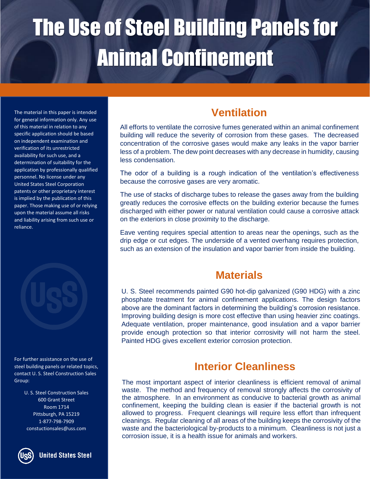The material in this paper is intended for general information only. Any use of this material in relation to any specific application should be based on independent examination and verification of its unrestricted availability for such use, and a determination of suitability for the application by professionally qualified personnel. No license under any United States Steel Corporation patents or other proprietary interest is implied by the publication of this paper. Those making use of or relying upon the material assume all risks and liability arising from such use or reliance.



For further assistance on the use of steel building panels or related topics, contact U. S. Steel Construction Sales Group:

> U. S. Steel Construction Sales 600 Grant Street Room 1714 Pittsburgh, PA 15219 1-877-798-7909 constuctionsales@uss.com

**United States Steel** 

### **Ventilation**

All efforts to ventilate the corrosive fumes generated within an animal confinement building will reduce the severity of corrosion from these gases. The decreased concentration of the corrosive gases would make any leaks in the vapor barrier less of a problem. The dew point decreases with any decrease in humidity, causing less condensation.

The odor of a building is a rough indication of the ventilation's effectiveness because the corrosive gases are very aromatic.

The use of stacks of discharge tubes to release the gases away from the building greatly reduces the corrosive effects on the building exterior because the fumes discharged with either power or natural ventilation could cause a corrosive attack on the exteriors in close proximity to the discharge.

Eave venting requires special attention to areas near the openings, such as the drip edge or cut edges. The underside of a vented overhang requires protection, such as an extension of the insulation and vapor barrier from inside the building.

#### **Materials**

U. S. Steel recommends painted G90 hot-dip galvanized (G90 HDG) with a zinc phosphate treatment for animal confinement applications. The design factors above are the dominant factors in determining the building's corrosion resistance. Improving building design is more cost effective than using heavier zinc coatings. Adequate ventilation, proper maintenance, good insulation and a vapor barrier provide enough protection so that interior corrosivity will not harm the steel. Painted HDG gives excellent exterior corrosion protection.

#### **Interior Cleanliness**

The most important aspect of interior cleanliness is efficient removal of animal waste. The method and frequency of removal strongly affects the corrosivity of the atmosphere. In an environment as conducive to bacterial growth as animal confinement, keeping the building clean is easier if the bacterial growth is not allowed to progress. Frequent cleanings will require less effort than infrequent cleanings. Regular cleaning of all areas of the building keeps the corrosivity of the waste and the bacteriological by-products to a minimum. Cleanliness is not just a corrosion issue, it is a health issue for animals and workers.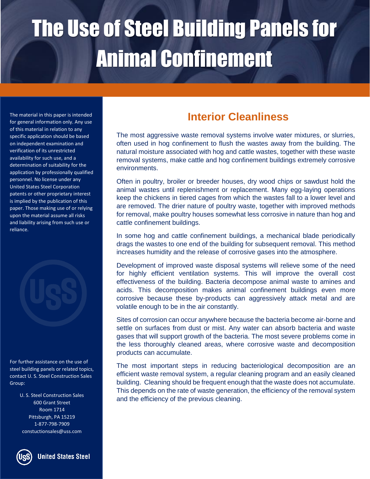The material in this paper is intended for general information only. Any use of this material in relation to any specific application should be based on independent examination and verification of its unrestricted availability for such use, and a determination of suitability for the application by professionally qualified personnel. No license under any United States Steel Corporation patents or other proprietary interest is implied by the publication of this paper. Those making use of or relying upon the material assume all risks and liability arising from such use or reliance.

For further assistance on the use of steel building panels or related topics, contact U. S. Steel Construction Sales Group:

> U. S. Steel Construction Sales 600 Grant Street Room 1714 Pittsburgh, PA 15219 1-877-798-7909 constuctionsales@uss.com

**United States Steel** 

#### **Interior Cleanliness**

The most aggressive waste removal systems involve water mixtures, or slurries, often used in hog confinement to flush the wastes away from the building. The natural moisture associated with hog and cattle wastes, together with these waste removal systems, make cattle and hog confinement buildings extremely corrosive environments.

Often in poultry, broiler or breeder houses, dry wood chips or sawdust hold the animal wastes until replenishment or replacement. Many egg-laying operations keep the chickens in tiered cages from which the wastes fall to a lower level and are removed. The drier nature of poultry waste, together with improved methods for removal, make poultry houses somewhat less corrosive in nature than hog and cattle confinement buildings.

In some hog and cattle confinement buildings, a mechanical blade periodically drags the wastes to one end of the building for subsequent removal. This method increases humidity and the release of corrosive gases into the atmosphere.

Development of improved waste disposal systems will relieve some of the need for highly efficient ventilation systems. This will improve the overall cost effectiveness of the building. Bacteria decompose animal waste to amines and acids. This decomposition makes animal confinement buildings even more corrosive because these by-products can aggressively attack metal and are volatile enough to be in the air constantly.

Sites of corrosion can occur anywhere because the bacteria become air-borne and settle on surfaces from dust or mist. Any water can absorb bacteria and waste gases that will support growth of the bacteria. The most severe problems come in the less thoroughly cleaned areas, where corrosive waste and decomposition products can accumulate.

The most important steps in reducing bacteriological decomposition are an efficient waste removal system, a regular cleaning program and an easily cleaned building. Cleaning should be frequent enough that the waste does not accumulate. This depends on the rate of waste generation, the efficiency of the removal system and the efficiency of the previous cleaning.